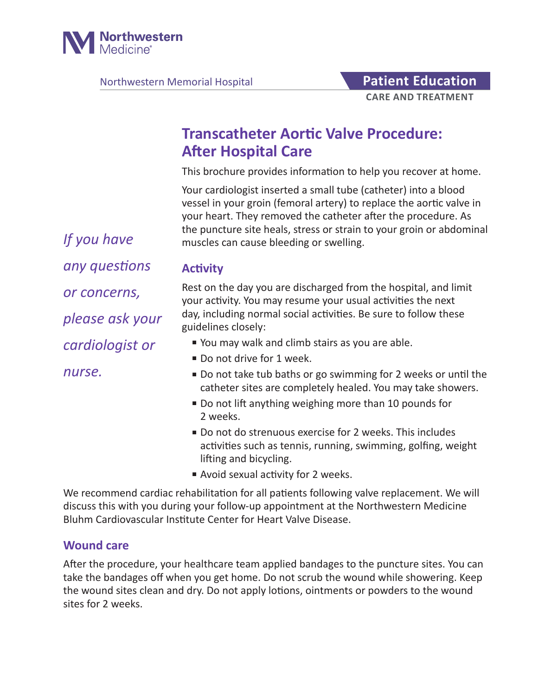

Northwestern Memorial Hospital **Patient Education** 

# **Transcatheter Aortic Valve Procedure: After Hospital Care**

This brochure provides information to help you recover at home.

Your cardiologist inserted a small tube (catheter) into a blood vessel in your groin (femoral artery) to replace the aortic valve in your heart. They removed the catheter after the procedure. As the puncture site heals, stress or strain to your groin or abdominal muscles can cause bleeding or swelling.

**Activity**

Rest on the day you are discharged from the hospital, and limit your activity. You may resume your usual activities the next day, including normal social activities. Be sure to follow these guidelines closely:

- You may walk and climb stairs as you are able.
- Do not drive for 1 week.
- Do not take tub baths or go swimming for 2 weeks or until the catheter sites are completely healed. You may take showers.
- Do not lift anything weighing more than 10 pounds for 2 weeks.
- Do not do strenuous exercise for 2 weeks. This includes activities such as tennis, running, swimming, golfing, weight lifting and bicycling.
- Avoid sexual activity for 2 weeks.

We recommend cardiac rehabilitation for all patients following valve replacement. We will discuss this with you during your follow-up appointment at the Northwestern Medicine Bluhm Cardiovascular Institute Center for Heart Valve Disease.

#### **Wound care**

After the procedure, your healthcare team applied bandages to the puncture sites. You can take the bandages off when you get home. Do not scrub the wound while showering. Keep the wound sites clean and dry. Do not apply lotions, ointments or powders to the wound sites for 2 weeks.

*If you have any questions or concerns, please ask your cardiologist or nurse.*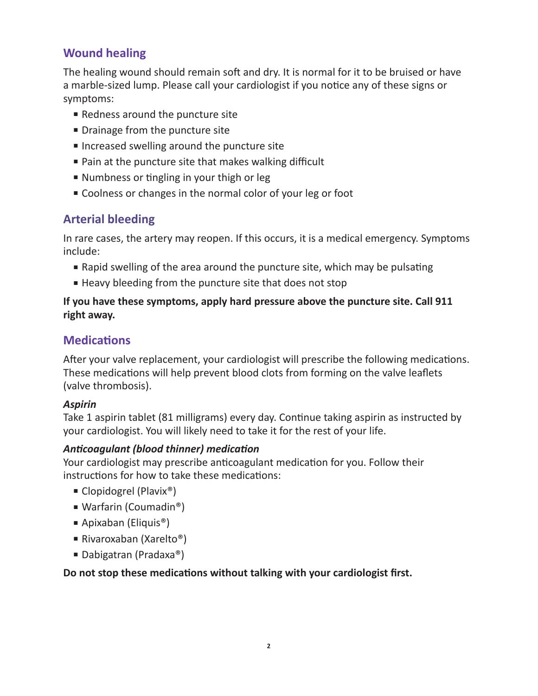# **Wound healing**

The healing wound should remain soft and dry. It is normal for it to be bruised or have a marble-sized lump. Please call your cardiologist if you notice any of these signs or symptoms:

- Redness around the puncture site
- Drainage from the puncture site
- Increased swelling around the puncture site
- Pain at the puncture site that makes walking difficult
- Numbness or tingling in your thigh or leg
- Coolness or changes in the normal color of your leg or foot

# **Arterial bleeding**

In rare cases, the artery may reopen. If this occurs, it is a medical emergency. Symptoms include:

- Rapid swelling of the area around the puncture site, which may be pulsating
- Heavy bleeding from the puncture site that does not stop

#### **If you have these symptoms, apply hard pressure above the puncture site. Call 911 right away.**

### **Medications**

After your valve replacement, your cardiologist will prescribe the following medications. These medications will help prevent blood clots from forming on the valve leaflets (valve thrombosis).

#### *Aspirin*

Take 1 aspirin tablet (81 milligrams) every day. Continue taking aspirin as instructed by your cardiologist. You will likely need to take it for the rest of your life.

#### *Anticoagulant (blood thinner) medication*

Your cardiologist may prescribe anticoagulant medication for you. Follow their instructions for how to take these medications:

- Clopidogrel (Plavix<sup>®</sup>)
- Warfarin (Coumadin<sup>®</sup>)
- Apixaban (Eliquis<sup>®</sup>)
- Rivaroxaban (Xarelto®)
- Dabigatran (Pradaxa®)

#### **Do not stop these medications without talking with your cardiologist first.**